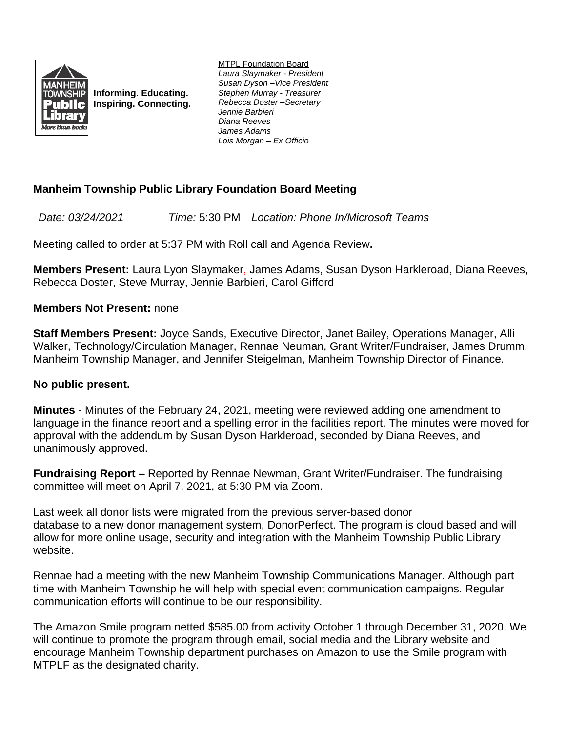

**Informing. Educating. Inspiring. Connecting.** MTPL Foundation Board *Laura Slaymaker - President Susan Dyson –Vice President Stephen Murray - Treasurer Rebecca Doster –Secretary Jennie Barbieri Diana Reeves James Adams Lois Morgan – Ex Officio*

# **Manheim Township Public Library Foundation Board Meeting**

*Date: 03/24/2021 Time:* 5:30 PM *Location: Phone In/Microsoft Teams*

Meeting called to order at 5:37 PM with Roll call and Agenda Review**.**

**Members Present:** Laura Lyon Slaymaker, James Adams, Susan Dyson Harkleroad, Diana Reeves, Rebecca Doster, Steve Murray, Jennie Barbieri, Carol Gifford

# **Members Not Present:** none

**Staff Members Present:** Joyce Sands, Executive Director, Janet Bailey, Operations Manager, Alli Walker, Technology/Circulation Manager, Rennae Neuman, Grant Writer/Fundraiser, James Drumm, Manheim Township Manager, and Jennifer Steigelman, Manheim Township Director of Finance.

### **No public present.**

**Minutes** - Minutes of the February 24, 2021, meeting were reviewed adding one amendment to language in the finance report and a spelling error in the facilities report. The minutes were moved for approval with the addendum by Susan Dyson Harkleroad, seconded by Diana Reeves, and unanimously approved.

**Fundraising Report –** Reported by Rennae Newman, Grant Writer/Fundraiser. The fundraising committee will meet on April 7, 2021, at 5:30 PM via Zoom.

Last week all donor lists were migrated from the previous server-based donor database to a new donor management system, DonorPerfect. The program is cloud based and will allow for more online usage, security and integration with the Manheim Township Public Library website.

Rennae had a meeting with the new Manheim Township Communications Manager. Although part time with Manheim Township he will help with special event communication campaigns. Regular communication efforts will continue to be our responsibility.

The Amazon Smile program netted \$585.00 from activity October 1 through December 31, 2020. We will continue to promote the program through email, social media and the Library website and encourage Manheim Township department purchases on Amazon to use the Smile program with MTPLF as the designated charity.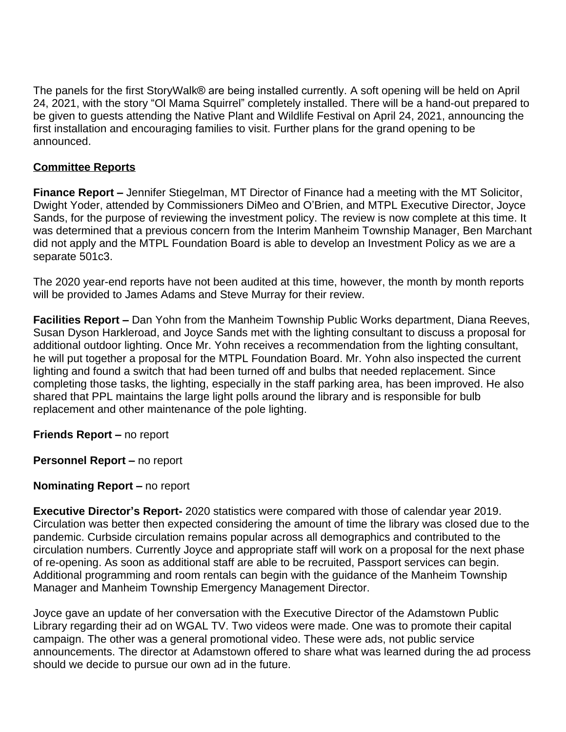The panels for the first StoryWalk® are being installed currently. A soft opening will be held on April 24, 2021, with the story "Ol Mama Squirrel" completely installed. There will be a hand-out prepared to be given to guests attending the Native Plant and Wildlife Festival on April 24, 2021, announcing the first installation and encouraging families to visit. Further plans for the grand opening to be announced.

# **Committee Reports**

**Finance Report –** Jennifer Stiegelman, MT Director of Finance had a meeting with the MT Solicitor, Dwight Yoder, attended by Commissioners DiMeo and O'Brien, and MTPL Executive Director, Joyce Sands, for the purpose of reviewing the investment policy. The review is now complete at this time. It was determined that a previous concern from the Interim Manheim Township Manager, Ben Marchant did not apply and the MTPL Foundation Board is able to develop an Investment Policy as we are a separate 501c3.

The 2020 year-end reports have not been audited at this time, however, the month by month reports will be provided to James Adams and Steve Murray for their review.

**Facilities Report –** Dan Yohn from the Manheim Township Public Works department, Diana Reeves, Susan Dyson Harkleroad, and Joyce Sands met with the lighting consultant to discuss a proposal for additional outdoor lighting. Once Mr. Yohn receives a recommendation from the lighting consultant, he will put together a proposal for the MTPL Foundation Board. Mr. Yohn also inspected the current lighting and found a switch that had been turned off and bulbs that needed replacement. Since completing those tasks, the lighting, especially in the staff parking area, has been improved. He also shared that PPL maintains the large light polls around the library and is responsible for bulb replacement and other maintenance of the pole lighting.

**Friends Report –** no report

**Personnel Report – no report** 

### **Nominating Report – no report**

**Executive Director's Report-** 2020 statistics were compared with those of calendar year 2019. Circulation was better then expected considering the amount of time the library was closed due to the pandemic. Curbside circulation remains popular across all demographics and contributed to the circulation numbers. Currently Joyce and appropriate staff will work on a proposal for the next phase of re-opening. As soon as additional staff are able to be recruited, Passport services can begin. Additional programming and room rentals can begin with the guidance of the Manheim Township Manager and Manheim Township Emergency Management Director.

Joyce gave an update of her conversation with the Executive Director of the Adamstown Public Library regarding their ad on WGAL TV. Two videos were made. One was to promote their capital campaign. The other was a general promotional video. These were ads, not public service announcements. The director at Adamstown offered to share what was learned during the ad process should we decide to pursue our own ad in the future.